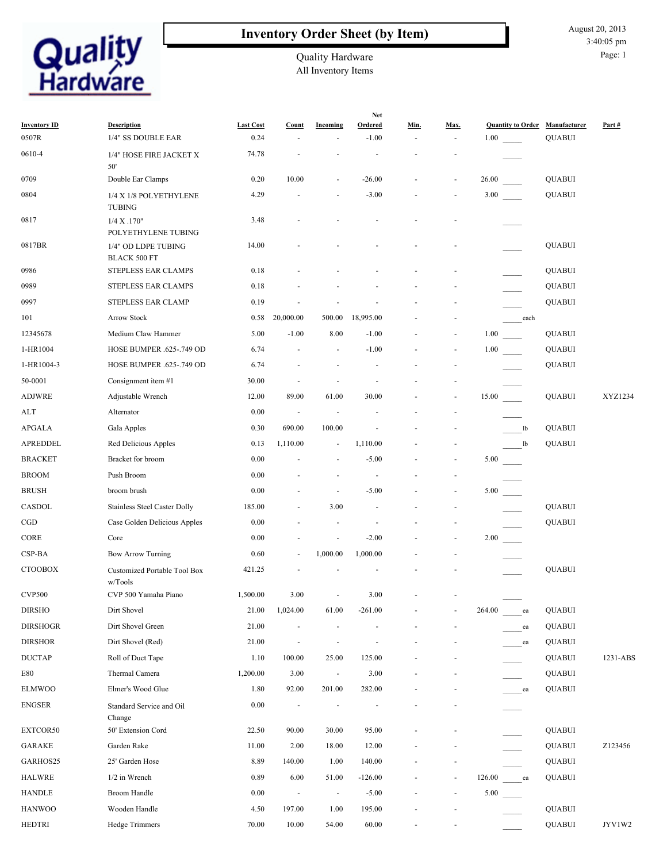### **Inventory Order Sheet (by Item)**



## Quality Hardware

All Inventory Items

|                              |                                            |                          |                          | <b>Net</b>               |                           |      |      |                                  |      |                               |              |
|------------------------------|--------------------------------------------|--------------------------|--------------------------|--------------------------|---------------------------|------|------|----------------------------------|------|-------------------------------|--------------|
| <b>Inventory ID</b><br>0507R | <b>Description</b><br>1/4" SS DOUBLE EAR   | <b>Last Cost</b><br>0.24 | Count                    | Incoming                 | <b>Ordered</b><br>$-1.00$ | Min. | Max. | <b>Quantity to Order</b><br>1.00 |      | Manufacturer<br><b>QUABUI</b> | Part#        |
| 0610-4                       | 1/4" HOSE FIRE JACKET X<br>50'             | 74.78                    |                          |                          |                           |      |      |                                  |      |                               |              |
| 0709                         | Double Ear Clamps                          | 0.20                     | 10.00                    | $\overline{\phantom{a}}$ | $-26.00$                  |      |      | 26.00                            |      | <b>QUABUI</b>                 |              |
| 0804                         | 1/4 X 1/8 POLYETHYLENE<br><b>TUBING</b>    | 4.29                     |                          |                          | $-3.00$                   |      |      | 3.00                             |      | <b>QUABUI</b>                 |              |
| 0817                         | 1/4 X .170"<br>POLYETHYLENE TUBING         | 3.48                     |                          |                          |                           |      |      |                                  |      |                               |              |
| 0817BR                       | 1/4" OD LDPE TUBING<br><b>BLACK 500 FT</b> | 14.00                    |                          |                          |                           |      |      |                                  |      | <b>OUABUI</b>                 |              |
| 0986                         | STEPLESS EAR CLAMPS                        | 0.18                     |                          |                          |                           |      |      |                                  |      | <b>QUABUI</b>                 |              |
| 0989                         | STEPLESS EAR CLAMPS                        | 0.18                     |                          |                          |                           |      |      |                                  |      | <b>QUABUI</b>                 |              |
| 0997                         | STEPLESS EAR CLAMP                         | 0.19                     |                          |                          |                           |      |      |                                  |      | <b>QUABUI</b>                 |              |
| 101                          | <b>Arrow Stock</b>                         | 0.58                     | 20,000.00                | 500.00                   | 18,995.00                 |      |      |                                  | each |                               |              |
| 12345678                     | Medium Claw Hammer                         | 5.00                     | $-1.00$                  | 8.00                     | $-1.00$                   |      |      | 1.00                             |      | <b>QUABUI</b>                 |              |
| 1-HR1004                     | HOSE BUMPER .625-.749 OD                   | 6.74                     |                          | $\sim$                   | $-1.00$                   |      |      | 1.00                             |      | <b>QUABUI</b>                 |              |
| 1-HR1004-3                   | HOSE BUMPER .625-.749 OD                   | 6.74                     |                          |                          |                           |      |      |                                  |      | <b>QUABUI</b>                 |              |
| 50-0001                      | Consignment item #1                        | 30.00                    |                          |                          |                           |      |      |                                  |      |                               |              |
| ADJWRE                       | Adjustable Wrench                          | 12.00                    | 89.00                    | 61.00                    | 30.00                     |      |      | 15.00                            |      | <b>QUABUI</b>                 | XYZ1234      |
| ALT                          | Alternator                                 | 0.00                     | $\overline{\phantom{a}}$ |                          |                           |      |      |                                  |      |                               |              |
| APGALA                       | Gala Apples                                | 0.30                     | 690.00                   | 100.00                   |                           |      |      |                                  | 1b   | <b>QUABUI</b>                 |              |
| APREDDEL                     | Red Delicious Apples                       | 0.13                     | 1,110.00                 |                          | 1,110.00                  |      |      |                                  | lb   | <b>QUABUI</b>                 |              |
| <b>BRACKET</b>               | Bracket for broom                          | 0.00                     |                          | $\overline{\phantom{a}}$ | $-5.00$                   |      |      | 5.00                             |      |                               |              |
| <b>BROOM</b>                 | Push Broom                                 | 0.00                     |                          |                          |                           |      |      |                                  |      |                               |              |
| <b>BRUSH</b>                 | broom brush                                | 0.00                     |                          | $\sim$                   | $-5.00$                   |      |      | 5.00                             |      |                               |              |
| CASDOL                       | Stainless Steel Caster Dolly               | 185.00                   |                          | 3.00                     |                           |      |      |                                  |      | <b>QUABUI</b>                 |              |
| CGD                          | Case Golden Delicious Apples               | 0.00                     |                          |                          |                           |      |      |                                  |      | <b>QUABUI</b>                 |              |
| CORE                         | Core                                       | 0.00                     |                          | $\sim$                   | $-2.00$                   |      |      | 2.00                             |      |                               |              |
| CSP-BA                       | <b>Bow Arrow Turning</b>                   | 0.60                     |                          | 1,000.00                 | 1,000.00                  |      |      |                                  |      |                               |              |
| <b>CTOOBOX</b>               | Customized Portable Tool Box<br>w/Tools    | 421.25                   |                          |                          |                           |      |      |                                  |      | <b>QUABUI</b>                 |              |
| <b>CVP500</b>                | $\mathrm{CVP}$ 500 Yamaha Piano            | 1,500.00                 | 3.00                     |                          | 3.00                      |      |      |                                  |      |                               |              |
| <b>DIRSHO</b>                | Dirt Shovel                                | 21.00                    | 1,024.00                 | 61.00                    | $-261.00$                 |      |      | 264.00                           | ea   | <b>QUABUI</b>                 |              |
| <b>DIRSHOGR</b>              | Dirt Shovel Green                          | 21.00                    |                          |                          |                           |      |      |                                  | ea   | <b>QUABUI</b>                 |              |
| <b>DIRSHOR</b>               | Dirt Shovel (Red)                          | 21.00                    |                          |                          |                           |      |      |                                  | ea   | <b>QUABUI</b>                 |              |
| <b>DUCTAP</b>                | Roll of Duct Tape                          | 1.10                     | 100.00                   | 25.00                    | 125.00                    |      |      |                                  |      | <b>QUABUI</b>                 | 1231-ABS     |
| $\rm E80$                    | Thermal Camera                             | 1,200.00                 | 3.00                     | $\blacksquare$           | 3.00                      |      |      |                                  |      | <b>QUABUI</b>                 |              |
| <b>ELMWOO</b>                | Elmer's Wood Glue                          | 1.80                     | 92.00                    | 201.00                   | 282.00                    |      |      |                                  | ea   | <b>QUABUI</b>                 |              |
| <b>ENGSER</b>                | Standard Service and Oil<br>Change         | 0.00                     |                          |                          |                           |      |      |                                  |      |                               |              |
| EXTCOR50                     | 50' Extension Cord                         | 22.50                    | 90.00                    | 30.00                    | 95.00                     |      |      |                                  |      | <b>QUABUI</b>                 |              |
| <b>GARAKE</b>                | Garden Rake                                | 11.00                    | 2.00                     | 18.00                    | 12.00                     |      |      |                                  |      | <b>QUABUI</b>                 | Z123456      |
| GARHOS25                     | 25' Garden Hose                            | 8.89                     | 140.00                   | 1.00                     | 140.00                    |      |      |                                  |      | <b>QUABUI</b>                 |              |
| <b>HALWRE</b>                | 1/2 in Wrench                              | 0.89                     | 6.00                     | 51.00                    | $-126.00$                 |      |      | 126.00                           | ea   | <b>QUABUI</b>                 |              |
| <b>HANDLE</b>                | <b>Broom Handle</b>                        | 0.00                     | $\blacksquare$           | $\overline{\phantom{a}}$ | $-5.00$                   |      |      | 5.00                             |      |                               |              |
| <b>HANWOO</b>                | Wooden Handle                              | 4.50                     | 197.00                   | 1.00                     | 195.00                    |      |      |                                  |      | <b>QUABUI</b>                 |              |
| <b>HEDTRI</b>                | Hedge Trimmers                             | 70.00                    | 10.00                    | 54.00                    | 60.00                     |      |      |                                  |      | <b>QUABUI</b>                 | $\rm JYY1W2$ |

August 20, 2013 3:40:05 pm

Page: 1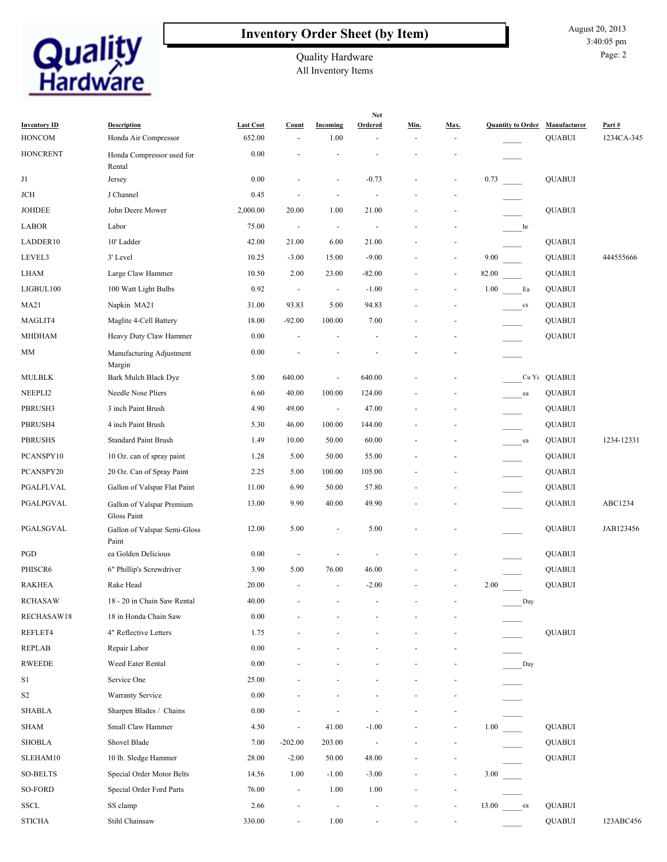

#### **Inventory Order Sheet (by Item)**

August 20, 2013 3:40:05 pm Page: 2

All Inventory Items Quality Hardware

|                                      |                                            |                            |                          |                          | <b>Net</b>     |      |                              |                          |                               |                     |
|--------------------------------------|--------------------------------------------|----------------------------|--------------------------|--------------------------|----------------|------|------------------------------|--------------------------|-------------------------------|---------------------|
| <b>Inventory ID</b><br><b>HONCOM</b> | <b>Description</b><br>Honda Air Compressor | <b>Last Cost</b><br>652.00 | Count                    | Incoming<br>1.00         | Ordered        | Min. | Max.                         | <b>Quantity to Order</b> | Manufacturer<br><b>QUABUI</b> | Part#<br>1234CA-345 |
| <b>HONCRENT</b>                      |                                            | 0.00                       |                          |                          |                |      |                              |                          |                               |                     |
|                                      | Honda Compressor used for<br>Rental        |                            |                          |                          |                |      |                              |                          |                               |                     |
| J1                                   | Jersey                                     | 0.00                       |                          |                          | $-0.73$        |      |                              | 0.73                     | <b>QUABUI</b>                 |                     |
| JCH                                  | J Channel                                  | 0.45                       |                          | $\sim$                   | $\sim$         |      |                              |                          |                               |                     |
| <b>JOHDEE</b>                        | John Deere Mower                           | 2,000.00                   | 20.00                    | 1.00                     | 21.00          |      |                              |                          | <b>QUABUI</b>                 |                     |
| <b>LABOR</b>                         | Labor                                      | 75.00                      | $\overline{\phantom{a}}$ | $\blacksquare$           | $\blacksquare$ |      |                              | hr                       |                               |                     |
| LADDER10                             | 10' Ladder                                 | 42.00                      | 21.00                    | 6.00                     | 21.00          |      |                              |                          | <b>QUABUI</b>                 |                     |
| LEVEL3                               | 3' Level                                   | 10.25                      | $-3.00$                  | 15.00                    | $-9.00$        |      | $\overline{\phantom{a}}$     | 9.00                     | <b>QUABUI</b>                 | 444555666           |
| <b>LHAM</b>                          | Large Claw Hammer                          | 10.50                      | 2.00                     | 23.00                    | $-82.00$       |      | ۰                            | 82.00                    | <b>QUABUI</b>                 |                     |
| LIGBUL100                            | 100 Watt Light Bulbs                       | 0.92                       | $\sim$                   | $\overline{\phantom{a}}$ | $-1.00$        |      | ۰                            | 1.00<br>Ea               | <b>QUABUI</b>                 |                     |
| <b>MA21</b>                          | Napkin MA21                                | 31.00                      | 93.83                    | 5.00                     | 94.83          |      |                              | cs                       | <b>QUABUI</b>                 |                     |
| MAGLIT4                              | Maglite 4-Cell Battery                     | 18.00                      | $-92.00$                 | 100.00                   | 7.00           |      |                              |                          | <b>QUABUI</b>                 |                     |
| <b>MHDHAM</b>                        | Heavy Duty Claw Hammer                     | 0.00                       | $\blacksquare$           |                          |                |      |                              |                          | <b>QUABUI</b>                 |                     |
| MM                                   | Manufacturing Adjustment                   | 0.00                       |                          |                          |                |      |                              |                          |                               |                     |
|                                      | Margin                                     |                            |                          |                          |                |      |                              |                          |                               |                     |
| <b>MULBLK</b>                        | Bark Mulch Black Dye                       | 5.00                       | 640.00                   | $\sim$                   | 640.00         |      |                              |                          | Cu Yc QUABUI                  |                     |
| NEEPLI2                              | Needle Nose Pliers                         | 6.60                       | 40.00                    | 100.00                   | 124.00         |      |                              | ea                       | <b>QUABUI</b>                 |                     |
| PBRUSH3                              | 3 inch Paint Brush                         | 4.90                       | 49.00                    | $\blacksquare$           | 47.00          |      |                              |                          | <b>QUABUI</b>                 |                     |
| PBRUSH4                              | 4 inch Paint Brush                         | 5.30                       | 46.00                    | 100.00                   | 144.00         |      |                              |                          | <b>QUABUI</b>                 |                     |
| <b>PBRUSHS</b>                       | <b>Standard Paint Brush</b>                | 1.49                       | 10.00                    | 50.00                    | 60.00          |      |                              | ea                       | <b>QUABUI</b>                 | 1234-12331          |
| PCANSPY10                            | 10 Oz. can of spray paint                  | 1.28                       | 5.00                     | 50.00                    | 55.00          |      |                              |                          | <b>QUABUI</b>                 |                     |
| PCANSPY20                            | 20 Oz. Can of Spray Paint                  | 2.25                       | 5.00                     | 100.00                   | 105.00         |      |                              |                          | <b>QUABUI</b>                 |                     |
| PGALFLVAL                            | Gallon of Valspar Flat Paint               | 11.00                      | 6.90                     | 50.00                    | 57.80          |      |                              |                          | <b>QUABUI</b>                 |                     |
| PGALPGVAL                            | Gallon of Valspar Premium<br>Gloss Paint   | 13.00                      | 9.90                     | 40.00                    | 49.90          |      |                              |                          | <b>QUABUI</b>                 | ABC1234             |
| PGALSGVAL                            | Gallon of Valspar Semi-Gloss<br>Paint      | 12.00                      | 5.00                     | $\sim$                   | 5.00           |      |                              |                          | <b>QUABUI</b>                 | JAB123456           |
| PGD                                  | ea Golden Delicious                        | 0.00                       |                          |                          |                |      |                              |                          | <b>QUABUI</b>                 |                     |
| PHISCR6                              | 6" Phillip's Screwdriver                   | 3.90                       | 5.00                     | 76.00                    | 46.00          |      |                              |                          | <b>QUABUI</b>                 |                     |
| <b>RAKHEA</b>                        | Rake Head                                  | 20.00                      | $\overline{\phantom{a}}$ | $\overline{\phantom{a}}$ | $-2.00$        |      |                              | 2.00                     | <b>QUABUI</b>                 |                     |
| RCHASAW                              | 18 - 20 in Chain Saw Rental                | 40.00                      |                          |                          |                |      |                              | Day                      |                               |                     |
| RECHASAW18                           | 18 in Honda Chain Saw                      | 0.00                       |                          |                          |                |      |                              |                          |                               |                     |
| REFLET4                              | 4" Reflective Letters                      | 1.75                       |                          |                          |                |      |                              |                          | <b>QUABUI</b>                 |                     |
| <b>REPLAB</b>                        | Repair Labor                               | 0.00                       |                          |                          |                |      |                              |                          |                               |                     |
| <b>RWEEDE</b>                        | Weed Eater Rental                          | 0.00                       |                          |                          |                |      |                              | Day                      |                               |                     |
| S1                                   | Service One                                | 25.00                      |                          |                          |                |      |                              |                          |                               |                     |
| $\mathbf{S2}$                        | Warranty Service                           | 0.00                       |                          |                          |                |      |                              |                          |                               |                     |
| <b>SHABLA</b>                        | Sharpen Blades / Chains                    | 0.00                       |                          |                          |                |      |                              |                          |                               |                     |
| <b>SHAM</b>                          | Small Claw Hammer                          | 4.50                       | ÷,                       | 41.00                    | $-1.00$        |      | ۰                            | 1.00                     | <b>QUABUI</b>                 |                     |
| <b>SHOBLA</b>                        | Shovel Blade                               | 7.00                       | $-202.00$                | 203.00                   | $\blacksquare$ |      |                              |                          | <b>QUABUI</b>                 |                     |
| SLEHAM10                             | 10 lb. Sledge Hammer                       | 28.00                      | $-2.00$                  | 50.00                    | 48.00          |      |                              |                          | <b>QUABUI</b>                 |                     |
| <b>SO-BELTS</b>                      | Special Order Motor Belts                  | 14.56                      | 1.00                     | $-1.00$                  | $-3.00$        |      |                              | 3.00                     |                               |                     |
| SO-FORD                              | Special Order Ford Parts                   | 76.00                      | $\overline{\phantom{a}}$ | 1.00                     | 1.00           |      |                              |                          |                               |                     |
| SSCL                                 | SS clamp                                   | 2.66                       |                          | $\overline{\phantom{a}}$ |                |      | $\qquad \qquad \blacksquare$ | 13.00<br>ea              | <b>QUABUI</b>                 |                     |
| <b>STICHA</b>                        | Stihl Chainsaw                             | 330.00                     | $\blacksquare$           | 1.00                     | $\blacksquare$ |      | $\overline{\phantom{a}}$     |                          | <b>QUABUI</b>                 | 123ABC456           |
|                                      |                                            |                            |                          |                          |                |      |                              |                          |                               |                     |